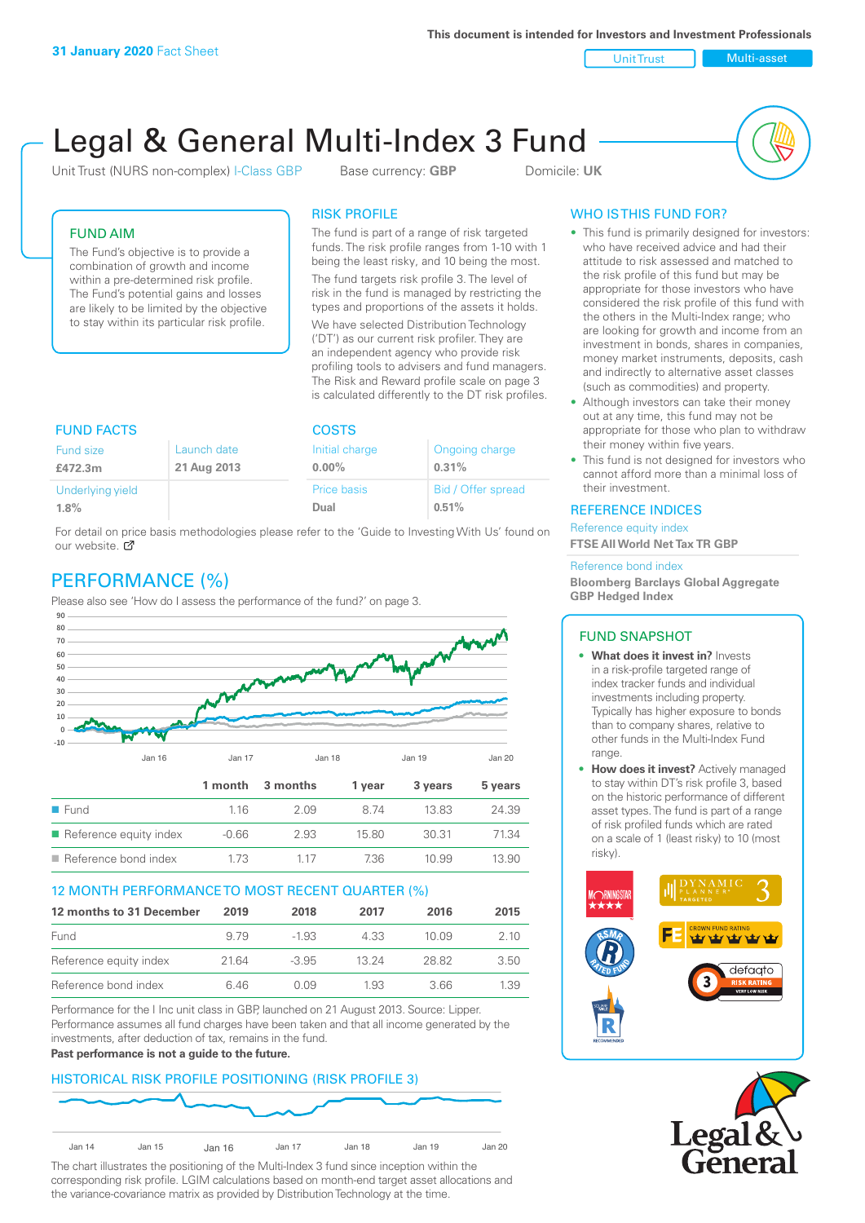**This document is intended for Investors and Investment Professionals**

Unit Trust Nulti-asset

# Legal & General Multi-Index 3 Fund

Unit Trust (NURS non-complex) I-Class GBP Base currency: **GBP** Domicile: UK



# FUND AIM

The Fund's objective is to provide a combination of growth and income within a pre-determined risk profile. The Fund's potential gains and losses are likely to be limited by the objective to stay within its particular risk profile.

### RISK PROFILE

The fund is part of a range of risk targeted funds. The risk profile ranges from 1-10 with 1 being the least risky, and 10 being the most.

The fund targets risk profile 3. The level of risk in the fund is managed by restricting the types and proportions of the assets it holds. We have selected Distribution Technology ('DT') as our current risk profiler. They are an independent agency who provide risk profiling tools to advisers and fund managers. The Risk and Reward profile scale on page 3 is calculated differently to the DT risk profiles.

| <b>FUND FACTS</b> |             | <b>COSTS</b>   |                    |  |
|-------------------|-------------|----------------|--------------------|--|
| Fund size         | Launch date | Initial charge | Ongoing charge     |  |
| £472.3m           | 21 Aug 2013 | $0.00\%$       | 0.31%              |  |
| Underlying yield  |             | Price basis    | Bid / Offer spread |  |
| 1.8%              |             | Dual           | 0.51%              |  |

For detail on price basis methodologies please refer to the 'Guide to Investing With Us' found on our website. Ø

# PERFORMANCE (%)

Please also see 'How do I assess the performance of the fund?' on page 3.



#### 12 MONTH PERFORMANCE TO MOST RECENT QUARTER (%)

| 12 months to 31 December | 2019 | 2018    | 2017  | 2016   | 2015 |
|--------------------------|------|---------|-------|--------|------|
| Fund                     | 9.79 | $-1.93$ | 4.33  | 10 Q.9 | 2.10 |
| Reference equity index   | 2164 | $-3.95$ | 13 24 | 28.82  | 3.50 |
| Reference bond index     | 6 46 | N N9    | 1.93  | 3.66   | 1.39 |

Performance for the I Inc unit class in GBP, launched on 21 August 2013. Source: Lipper. Performance assumes all fund charges have been taken and that all income generated by the investments, after deduction of tax, remains in the fund.

#### **Past performance is not a guide to the future.**

# HISTORICAL RISK PROFILE POSITIONING (RISK PROFILE 3)



The chart illustrates the positioning of the Multi-Index 3 fund since inception within the corresponding risk profile. LGIM calculations based on month-end target asset allocations and the variance-covariance matrix as provided by Distribution Technology at the time.

# WHO IS THIS FUND FOR?

- This fund is primarily designed for investors: who have received advice and had their attitude to risk assessed and matched to the risk profile of this fund but may be appropriate for those investors who have considered the risk profile of this fund with the others in the Multi-Index range; who are looking for growth and income from an investment in bonds, shares in companies, money market instruments, deposits, cash and indirectly to alternative asset classes (such as commodities) and property.
- Although investors can take their money out at any time, this fund may not be appropriate for those who plan to withdraw their money within five years.
- This fund is not designed for investors who cannot afford more than a minimal loss of their investment.

#### REFERENCE INDICES

Reference equity index **FTSE All World Net Tax TR GBP**

#### Reference bond index

**Bloomberg Barclays Global Aggregate GBP Hedged Index**

#### FUND SNAPSHOT

- **• What does it invest in?** Invests in a risk-profile targeted range of index tracker funds and individual investments including property. Typically has higher exposure to bonds than to company shares, relative to other funds in the Multi-Index Fund range.
- **• How does it invest?** Actively managed to stay within DT's risk profile 3, based on the historic performance of different asset types. The fund is part of a range of risk profiled funds which are rated on a scale of 1 (least risky) to 10 (most risky).



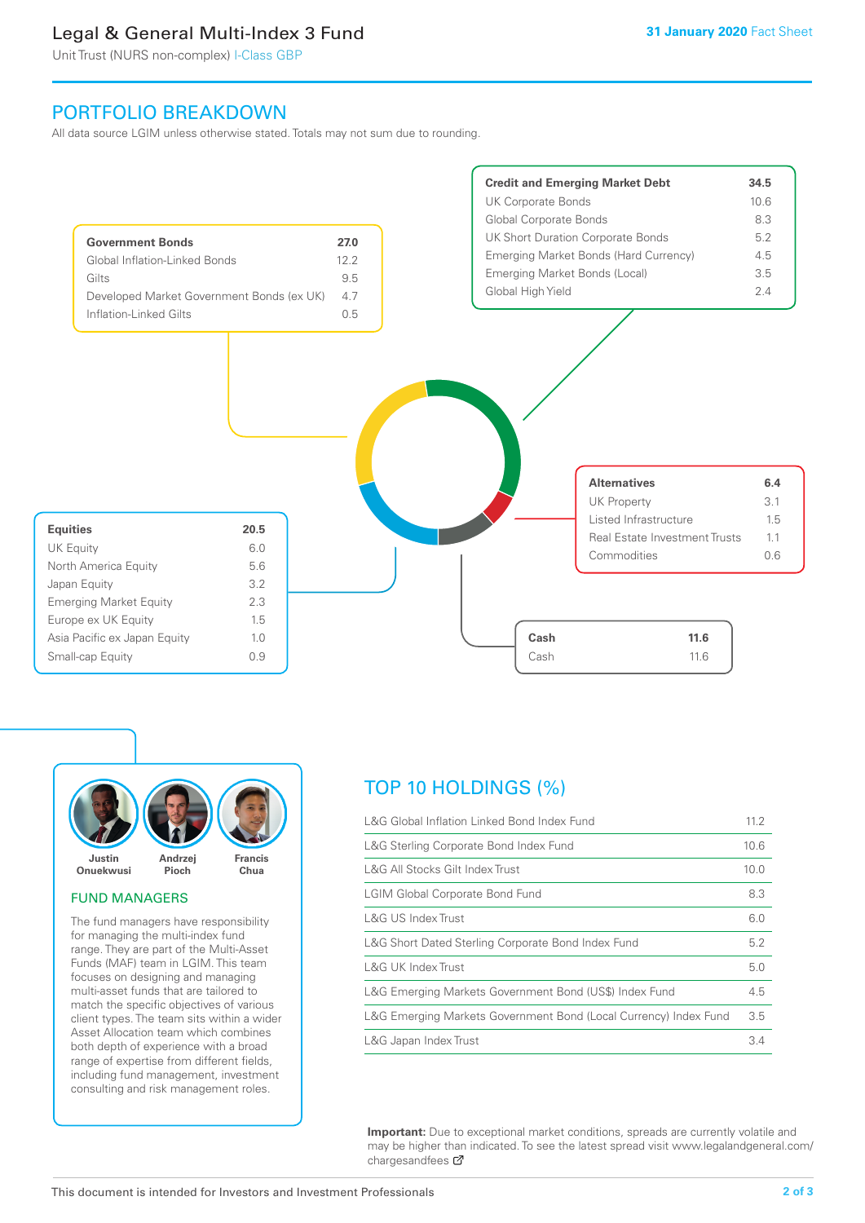# Legal & General Multi-Index 3 Fund

Unit Trust (NURS non-complex) I-Class GBP

# PORTFOLIO BREAKDOWN

All data source LGIM unless otherwise stated. Totals may not sum due to rounding.





#### FUND MANAGERS

The fund managers have responsibility for managing the multi-index fund range. They are part of the Multi-Asset Funds (MAF) team in LGIM. This team focuses on designing and managing multi-asset funds that are tailored to match the specific objectives of various client types. The team sits within a wider Asset Allocation team which combines both depth of experience with a broad range of expertise from different fields, including fund management, investment consulting and risk management roles.

# TOP 10 HOLDINGS (%)

| L&G Global Inflation Linked Bond Index Fund                      | 11.2 |
|------------------------------------------------------------------|------|
| L&G Sterling Corporate Bond Index Fund                           | 10.6 |
| L&G All Stocks Gilt Index Trust                                  | 10.0 |
| <b>LGIM Global Corporate Bond Fund</b>                           | 8.3  |
| L&G US Index Trust                                               | 6.0  |
| L&G Short Dated Sterling Corporate Bond Index Fund               | 5.2  |
| L&G UK Index Trust                                               | 5.0  |
| L&G Emerging Markets Government Bond (US\$) Index Fund           | 4.5  |
| L&G Emerging Markets Government Bond (Local Currency) Index Fund | 3.5  |
| L&G Japan Index Trust                                            | 3.4  |

**Important:** Due to exceptional market conditions, spreads are currently volatile and may be higher than indicated. To see the latest spread visit www.legalandgeneral.com/ chargesandfees  $\sigma$